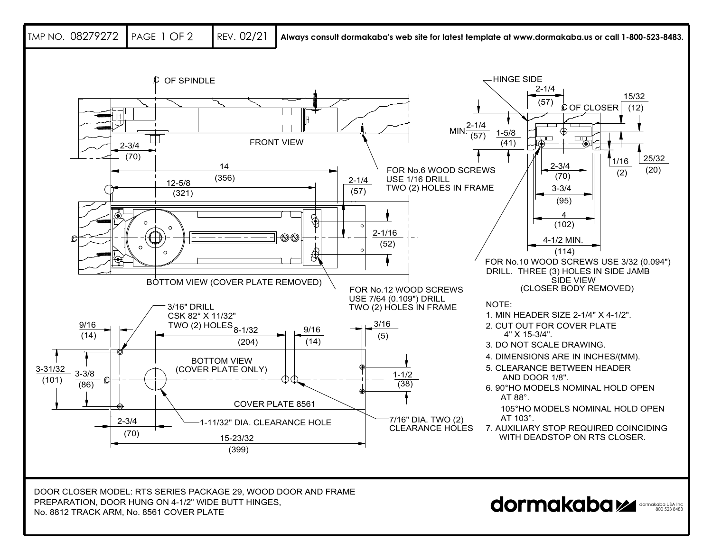